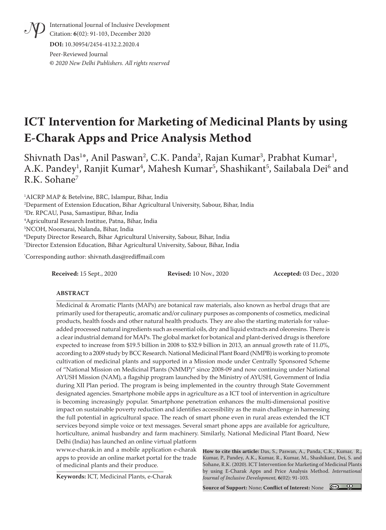International Journal of Inclusive Development Citation: **6**(02): 91-103, December 2020 **DOI:** 10.30954/2454-4132.2.2020.4

Peer-Reviewed Journal **©** *2020 New Delhi Publishers. All rights reserved*

# **ICT Intervention for Marketing of Medicinal Plants by using E-Charak Apps and Price Analysis Method**

Shivnath Das<sup>1</sup>\*, Anil Paswan<sup>2</sup>, C.K. Panda<sup>2</sup>, Rajan Kumar<sup>3</sup>, Prabhat Kumar<sup>1</sup>, A.K. Pandey<sup>1</sup>, Ranjit Kumar<sup>4</sup>, Mahesh Kumar<sup>5</sup>, Shashikant<sup>5</sup>, Sailabala Dei<sup>6</sup> and R.K. Sohane7

 AICRP MAP & Betelvine, BRC, Islampur, Bihar, India Deparment of Extension Education, Bihar Agricultural University, Sabour, Bihar, India Dr. RPCAU, Pusa, Samastipur, Bihar, India Agricultural Research Institue, Patna, Bihar, India NCOH, Noorsarai, Nalanda, Bihar, India Deputy Director Research, Bihar Agricultural University, Sabour, Bihar, India Director Extension Education, Bihar Agricultural University, Sabour, Bihar, India

\* Corresponding author: shivnath.das@rediffmail.com

**Received:** 15 Sept., 2020 **Revised:** 10 Nov., 2020 **Accepted:** 03 Dec., 2020

#### **ABSTRACT**

Medicinal & Aromatic Plants (MAPs) are botanical raw materials, also known as herbal drugs that are primarily used for therapeutic, aromatic and/or culinary purposes as components of cosmetics, medicinal products, health foods and other natural health products. They are also the starting materials for valueadded processed natural ingredients such as essential oils, dry and liquid extracts and oleoresins. There is a clear industrial demand for MAPs. The global market for botanical and plant-derived drugs is therefore expected to increase from \$19.5 billion in 2008 to \$32.9 billion in 2013, an annual growth rate of 11.0%, according to a 2009 study by BCC Research. National Medicinal Plant Board (NMPB) is working to promote cultivation of medicinal plants and supported in a Mission mode under Centrally Sponsored Scheme of "National Mission on Medicinal Plants (NMMP)" since 2008-09 and now continuing under National AYUSH Mission (NAM), a flagship program launched by the Ministry of AYUSH, Government of India during XII Plan period. The program is being implemented in the country through State Government designated agencies. Smartphone mobile apps in agriculture as a ICT tool of intervention in agriculture is becoming increasingly popular. Smartphone penetration enhances the multi-dimensional positive impact on sustainable poverty reduction and identifies accessibility as the main challenge in harnessing the full potential in agricultural space. The reach of smart phone even in rural areas extended the ICT services beyond simple voice or text messages. Several smart phone apps are available for agriculture, horticulture, animal husbandry and farm machinery. Similarly, National Medicinal Plant Board, New Delhi (India) has launched an online virtual platform

www.e-charak.in and a mobile application e-charak apps to provide an online market portal for the trade of medicinal plants and their produce.

**How to cite this article:** Das, S., Paswan, A., Panda, C.K., Kumar, R., Kumar, P., Pandey, A.K., Kumar, R., Kumar, M., Shashikant, Dei, S. and Sohane, R.K. (2020). ICT Intervention for Marketing of Medicinal Plants by using E-Charak Apps and Price Analysis Method. *International Journal of Inclusive Development,* **6**(02): 91-103.

**Keywords:** ICT, Medicinal Plants, e-Charak

**Source of Support:** None; **Conflict of Interest:** None

 $\bigcirc$   $\bigcirc$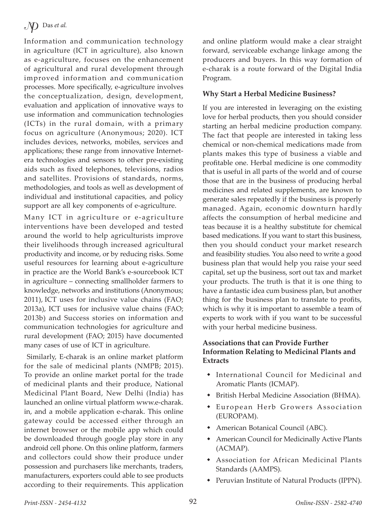Information and communication technology in agriculture (ICT in agriculture), also known as e-agriculture, focuses on the enhancement of agricultural and rural development through improved information and communication processes. More specifically, e-agriculture involves the conceptualization, design, development, evaluation and application of innovative ways to use information and communication technologies (ICTs) in the rural domain, with a primary focus on agriculture (Anonymous; 2020). ICT includes devices, networks, mobiles, services and applications; these range from innovative Internetera technologies and sensors to other pre-existing aids such as fixed telephones, televisions, radios and satellites. Provisions of standards, norms, methodologies, and tools as well as development of individual and institutional capacities, and policy support are all key components of e-agriculture.

Many ICT in agriculture or e-agriculture interventions have been developed and tested around the world to help agriculturists improve their livelihoods through increased agricultural productivity and income, or by reducing risks. Some useful resources for learning about e-agriculture in practice are the World Bank's e-sourcebook ICT in agriculture – connecting smallholder farmers to knowledge, networks and institutions (Anonymous; 2011), ICT uses for inclusive value chains (FAO; 2013a), ICT uses for inclusive value chains (FAO; 2013b) and Success stories on information and communication technologies for agriculture and rural development (FAO; 2015) have documented many cases of use of ICT in agriculture.

 Similarly, E-charak is an online market platform for the sale of medicinal plants (NMPB; 2015). To provide an online market portal for the trade of medicinal plants and their produce, National Medicinal Plant Board, New Delhi (India) has launched an online virtual platform www.e-charak. in, and a mobile application e-charak. This online gateway could be accessed either through an internet browser or the mobile app which could be downloaded through google play store in any android cell phone. On this online platform, farmers and collectors could show their produce under possession and purchasers like merchants, traders, manufacturers, exporters could able to see products according to their requirements. This application

and online platform would make a clear straight forward, serviceable exchange linkage among the producers and buyers. In this way formation of e-charak is a route forward of the Digital India Program.

# **Why Start a Herbal Medicine Business?**

If you are interested in leveraging on the existing love for herbal products, then you should consider starting an herbal medicine production company. The fact that people are interested in taking less chemical or non-chemical medications made from plants makes this type of business a viable and profitable one. Herbal medicine is one commodity that is useful in all parts of the world and of course those that are in the business of producing herbal medicines and related supplements, are known to generate sales repeatedly if the business is properly managed. Again, economic downturn hardly affects the consumption of herbal medicine and teas because it is a healthy substitute for chemical based medications. If you want to start this business, then you should conduct your market research and feasibility studies. You also need to write a good business plan that would help you raise your seed capital, set up the business, sort out tax and market your products. The truth is that it is one thing to have a fantastic idea cum business plan, but another thing for the business plan to translate to profits, which is why it is important to assemble a team of experts to work with if you want to be successful with your herbal medicine business.

# **Associations that can Provide Further Information Relating to Medicinal Plants and Extracts**

- International Council for Medicinal and Aromatic Plants (ICMAP).
- British Herbal Medicine Association (BHMA).
- European Herb Growers Association (EUROPAM).
- American Botanical Council (ABC).
- American Council for Medicinally Active Plants (ACMAP).
- Association for African Medicinal Plants Standards (AAMPS).
- Peruvian Institute of Natural Products (IPPN).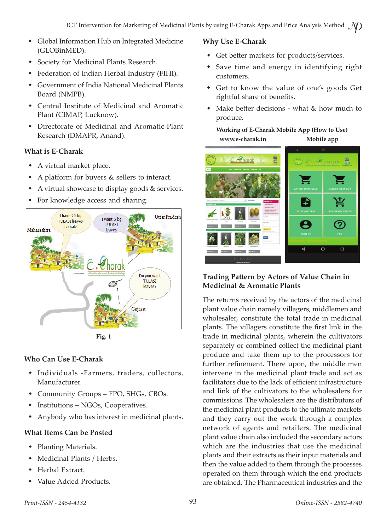- Global Information Hub on Integrated Medicine (GLOBinMED).
- Society for Medicinal Plants Research.
- Federation of Indian Herbal Industry (FIHI).
- Government of India National Medicinal Plants Board (NMPB).
- Central Institute of Medicinal and Aromatic Plant (CIMAP, Lucknow).
- Directorate of Medicinal and Aromatic Plant Research (DMAPR, Anand).

#### **What is E-Charak**

- A virtual market place.
- A platform for buyers & sellers to interact.
- A virtual showcase to display goods & services.
- For knowledge access and sharing.



**Fig. 1**

# **Who Can Use E-Charak**

- Individuals -Farmers, traders, collectors, Manufacturer.
- Community Groups FPO, SHGs, CBOs.
- InstitutionsNGOs, Cooperatives.
- Anybody who has interest in medicinal plants.

# **What Items Can be Posted**

- Planting Materials.
- Medicinal Plants / Herbs.
- Herbal Extract.
- Value Added Products.

# **Why Use E-Charak**

- Get better markets for products/services.
- Save time and energy in identifying right customers.
- Get to know the value of one's goods Get rightful share of benefits.
- Make better decisions what & how much to produce.

**Working of E-Charak Mobile App (How to Use) www.e-charak.in Mobile app**



## **Trading Pattern by Actors of Value Chain in Medicinal & Aromatic Plants**

The returns received by the actors of the medicinal plant value chain namely villagers, middlemen and wholesaler, constitute the total trade in medicinal plants. The villagers constitute the first link in the trade in medicinal plants, wherein the cultivators separately or combined collect the medicinal plant produce and take them up to the processors for further refinement. There upon, the middle men intervene in the medicinal plant trade and act as facilitators due to the lack of efficient infrastructure and link of the cultivators to the wholesalers for commissions. The wholesalers are the distributors of the medicinal plant products to the ultimate markets and they carry out the work through a complex network of agents and retailers. The medicinal plant value chain also included the secondary actors which are the industries that use the medicinal plants and their extracts as their input materials and then the value added to them through the processes operated on them through which the end products are obtained. The Pharmaceutical industries and the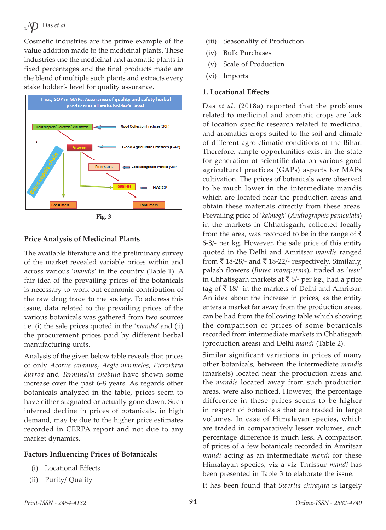Cosmetic industries are the prime example of the value addition made to the medicinal plants. These industries use the medicinal and aromatic plants in fixed percentages and the final products made are the blend of multiple such plants and extracts every stake holder's level for quality assurance.



**Fig. 3**

## **Price Analysis of Medicinal Plants**

The available literature and the preliminary survey of the market revealed variable prices within and across various '*mandis*' in the country (Table 1). A fair idea of the prevailing prices of the botanicals is necessary to work out economic contribution of the raw drug trade to the society. To address this issue, data related to the prevailing prices of the various botanicals was gathered from two sources i.e. (i) the sale prices quoted in the '*mandis*' and (ii) the procurement prices paid by different herbal manufacturing units.

Analysis of the given below table reveals that prices of only *Acorus calamus*, *Aegle marmelos*, *Picrorhiza kurroa* and *Terminalia chebula* have shown some increase over the past 6-8 years. As regards other botanicals analyzed in the table, prices seem to have either stagnated or actually gone down. Such inferred decline in prices of botanicals, in high demand, may be due to the higher price estimates recorded in CERPA report and not due to any market dynamics.

#### **Factors Influencing Prices of Botanicals:**

- (i) Locational Effects
- (ii) Purity/ Quality
- (iii) Seasonality of Production
- (iv) Bulk Purchases
- (v) Scale of Production
- (vi) Imports

#### **1. Locational Effects**

Das *et al.* (2018a) reported that the problems related to medicinal and aromatic crops are lack of location specific research related to medicinal and aromatics crops suited to the soil and climate of different agro-climatic conditions of the Bihar. Therefore, ample opportunities exist in the state for generation of scientific data on various good agricultural practices (GAPs) aspects for MAPs cultivation. The prices of botanicals were observed to be much lower in the intermediate mandis which are located near the production areas and obtain these materials directly from these areas. Prevailing price of '*kalmegh*' (*Andrographis paniculata*) in the markets in Chhatisgarh, collected locally from the area, was recorded to be in the range of  $\bar{\tau}$ 6-8/- per kg. However, the sale price of this entity quoted in the Delhi and Amritsar *mandis* ranged from  $\bar{\tau}$  18-28/- and  $\bar{\tau}$  18-22/- respectively. Similarly, palash flowers (*Butea monsperma*), traded as '*tesu*' in Chhatisgarh markets at  $\bar{\bar{\tau}}$  6/- per kg., had a price tag of  $\bar{\tau}$  18/- in the markets of Delhi and Amritsar. An idea about the increase in prices, as the entity enters a market far away from the production areas, can be had from the following table which showing the comparison of prices of some botanicals recorded from intermediate markets in Chhatisgarh (production areas) and Delhi *mandi* (Table 2).

Similar significant variations in prices of many other botanicals, between the intermediate *mandis* (markets) located near the production areas and the *mandis* located away from such production areas, were also noticed. However, the percentage difference in these prices seems to be higher in respect of botanicals that are traded in large volumes. In case of Himalayan species, which are traded in comparatively lesser volumes, such percentage difference is much less. A comparison of prices of a few botanicals recorded in Amritsar *mandi* acting as an intermediate *mandi* for these Himalayan species, viz-a-viz Thrissur *mandi* has been presented in Table 3 to elaborate the issue.

It has been found that *Swertia chirayita* is largely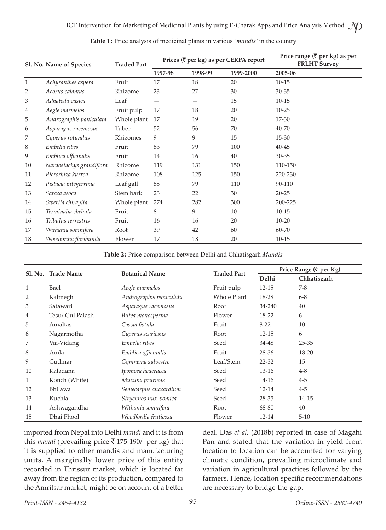|              | Sl. No. Name of Species  | <b>Traded Part</b> | Prices (₹ per kg) as per CERPA report |         |           | Price range $(\bar{\tau}$ per kg) as per<br><b>FRLHT Survey</b> |
|--------------|--------------------------|--------------------|---------------------------------------|---------|-----------|-----------------------------------------------------------------|
|              |                          |                    | 1997-98                               | 1998-99 | 1999-2000 | 2005-06                                                         |
| $\mathbf{1}$ | Achyranthes aspera       | Fruit              | 17                                    | 18      | 20        | $10 - 15$                                                       |
| 2            | Acorus calamus           | Rhizome            | 23                                    | 27      | 30        | $30 - 35$                                                       |
| 3            | Adhatoda vasica          | Leaf               |                                       |         | 15        | $10 - 15$                                                       |
| 4            | Aegle marmelos           | Fruit pulp         | 17                                    | 18      | 20        | $10 - 25$                                                       |
| 5            | Andrographis paniculata  | Whole plant        | 17                                    | 19      | 20        | 17-30                                                           |
| 6            | Asparagus racemosus      | Tuber              | 52                                    | 56      | 70        | 40-70                                                           |
| 7            | Cyperus rotundus         | Rhizomes           | 9                                     | 9       | 15        | 15-30                                                           |
| 8            | Embelia ribes            | Fruit              | 83                                    | 79      | 100       | $40 - 45$                                                       |
| 9            | Emblica officinalis      | Fruit              | 14                                    | 16      | 40        | $30 - 35$                                                       |
| 10           | Nardostachys grandiflora | Rhizome            | 119                                   | 131     | 150       | 110-150                                                         |
| 11           | Picrorhiza kurroa        | Rhizome            | 108                                   | 125     | 150       | 220-230                                                         |
| 12           | Pistacia integerrima     | Leaf gall          | 85                                    | 79      | 110       | 90-110                                                          |
| 13           | Saraca asoca             | Stem bark          | 23                                    | 22      | 30        | $20 - 25$                                                       |
| 14           | Swertia chirayita        | Whole plant        | 274                                   | 282     | 300       | 200-225                                                         |
| 15           | Terminalia chebula       | Fruit              | 8                                     | 9       | 10        | $10 - 15$                                                       |
| 16           | Tribulus terrestris      | Fruit              | 16                                    | 16      | 20        | $10 - 20$                                                       |
| 17           | Withania somnifera       | Root               | 39                                    | 42      | 60        | 60-70                                                           |
| 18           | Woodfordia floribunda    | Flower             | 17                                    | 18      | 20        | $10 - 15$                                                       |

**Table 1:** Price analysis of medicinal plants in various '*mandis*' in the country

**Table 2:** Price comparison between Delhi and Chhatisgarh *Mandis*

|    | Sl. No. Trade Name | <b>Botanical Name</b>   | <b>Traded Part</b> | Price Range (₹ per Kg) |             |  |
|----|--------------------|-------------------------|--------------------|------------------------|-------------|--|
|    |                    |                         |                    | Delhi                  | Chhatisgarh |  |
| 1  | Bael               | Aegle marmelos          | Fruit pulp         | $12 - 15$              | $7-8$       |  |
| 2  | Kalmegh            | Andrographis paniculata | Whole Plant        | 18-28                  | $6 - 8$     |  |
| 3  | Satawari           | Asparagus racemosus     | Root               | 34-240                 | 40          |  |
| 4  | Tesu/ Gul Palash   | Butea monosperma        | Flower             | 18-22                  | 6           |  |
| 5  | Amaltas            | Cassia fistula          | Fruit              | $8 - 22$               | 10          |  |
| 6  | Nagarmotha         | Cyperus scariosus       | Root               | $12 - 15$              | 6           |  |
| 7  | Vai-Vidang         | Embelia ribes           | Seed               | 34-48                  | $25 - 35$   |  |
| 8  | Amla               | Emblica officinalis     | Fruit              | 28-36                  | $18 - 20$   |  |
| 9  | Gudmar             | Gymnema sylvestre       | Leaf/Stem          | $22 - 32$              | 15          |  |
| 10 | Kaladana           | Ipomoea hederacea       | Seed               | $13 - 16$              | $4 - 8$     |  |
| 11 | Konch (White)      | Mucuna pruriens         | Seed               | $14 - 16$              | $4-5$       |  |
| 12 | Bhilawa            | Semecarpus anacardium   | Seed               | 12-14                  | $4-5$       |  |
| 13 | Kuchla             | Strychnos nux-vomica    | Seed               | 28-35                  | 14-15       |  |
| 14 | Ashwagandha        | Withania somnifera      | Root               | 68-80                  | 40          |  |
| 15 | Dhai Phool         | Woodfordia fruticosa    | Flower             | 12-14                  | $5 - 10$    |  |

imported from Nepal into Delhi *mandi* and it is from this *mandi* (prevailing price  $\bar{\tau}$  175-190/- per kg) that it is supplied to other mandis and manufacturing units. A marginally lower price of this entity recorded in Thrissur market, which is located far away from the region of its production, compared to the Amritsar market, might be on account of a better deal. Das *et al.* (2018b) reported in case of Magahi Pan and stated that the variation in yield from location to location can be accounted for varying climatic condition, prevailing microclimate and variation in agricultural practices followed by the farmers. Hence, location specific recommendations are necessary to bridge the gap.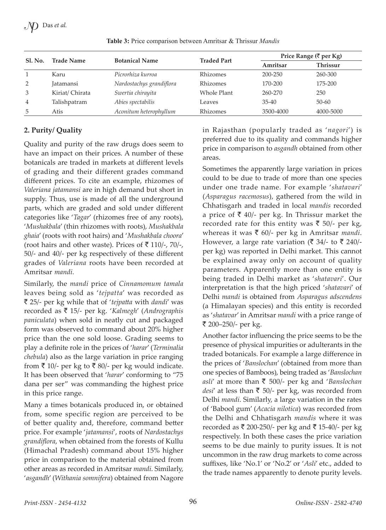| Sl. No.        | <b>Trade Name</b> | <b>Botanical Name</b>    | <b>Traded Part</b> | Price Range (₹ per Kg) |           |  |
|----------------|-------------------|--------------------------|--------------------|------------------------|-----------|--|
|                |                   |                          |                    | Amritsar               | Thrissur  |  |
|                | Karu              | Picrorhiza kurroa        | Rhizomes           | $200 - 250$            | 260-300   |  |
| 2              | <b>Jatamansi</b>  | Nardostachys grandiflora | Rhizomes           | 170-200                | 175-200   |  |
| 3              | Kiriat/Chirata    | Swertia chirayita        | Whole Plant        | 260-270                | 250       |  |
| $\overline{4}$ | Talishpatram      | Abies spectabilis        | Leaves             | $35 - 40$              | $50 - 60$ |  |
| 5              | Atis              | Aconitum heterophyllum   | Rhizomes           | 3500-4000              | 4000-5000 |  |

**Table 3:** Price comparison between Amritsar & Thrissur *Mandis*

# **2. Purity/ Quality**

Quality and purity of the raw drugs does seem to have an impact on their prices. A number of these botanicals are traded in markets at different levels of grading and their different grades command different prices. To cite an example, rhizomes of *Valeriana jatamansi* are in high demand but short in supply. Thus, use is made of all the underground parts, which are graded and sold under different categories like '*Tagar*' (rhizomes free of any roots), '*Mushakbala*' (thin rhizomes with roots), *Mushakbala ghaia*' (roots with root hairs) and '*Mushakbala choora*' (root hairs and other waste). Prices of  $\bar{\tau}$  110/-, 70/-, 50/- and 40/- per kg respectively of these different grades of *Valeriana* roots have been recorded at Amritsar *mandi*.

Similarly, the *mandi* price of *Cinnamomum tamala* leaves being sold as '*tejpatta*' was recorded as ` 25/- per kg while that of '*tejpatta* with *dandi*' was recorded as ` 15/- per kg. '*Kalmegh*' (*Andrographis paniculata*) when sold in neatly cut and packaged form was observed to command about 20% higher price than the one sold loose. Grading seems to play a definite role in the prices of '*harar*' (*Terminalia chebula*) also as the large variation in price ranging from  $\bar{\tau}$  10/- per kg to  $\bar{\tau}$  80/- per kg would indicate. It has been observed that '*harar*' conforming to "75 dana per ser" was commanding the highest price in this price range.

Many a times botanicals produced in, or obtained from, some specific region are perceived to be of better quality and, therefore, command better price. For example '*jatamansi*', roots of *Nardostachys grandiflora*, when obtained from the forests of Kullu (Himachal Pradesh) command about 15% higher price in comparison to the material obtained from other areas as recorded in Amritsar *mandi*. Similarly, '*asgandh*' (*Withania somnifera*) obtained from Nagore

in Rajasthan (popularly traded as '*nagori*') is preferred due to its quality and commands higher price in comparison to *asgandh* obtained from other areas.

Sometimes the apparently large variation in prices could to be due to trade of more than one species under one trade name. For example '*shatavari*' (*Asparagus racemosus*), gathered from the wild in Chhatisgarh and traded in local *mandis* recorded a price of  $\bar{\xi}$  40/- per kg. In Thrissur market the recorded rate for this entity was  $\bar{\xi}$  50/- per kg, whereas it was  $\bar{\tau}$  60/- per kg in Amritsar *mandi*. However, a large rate variation ( $\bar{\mathfrak{c}}$  34/- to  $\bar{\mathfrak{c}}$  240/per kg) was reported in Delhi market. This cannot be explained away only on account of quality parameters. Apparently more than one entity is being traded in Delhi market as '*shatavari*'. Our interpretation is that the high priced '*shatavari*' of Delhi *mandi* is obtained from *Asparagus adscendens* (a Himalayan species) and this entity is recorded as '*shatavar*' in Amritsar *mandi* with a price range of ` 200–250/- per kg.

Another factor influencing the price seems to be the presence of physical impurities or adulterants in the traded botanicals. For example a large difference in the prices of '*Banslochan*' (obtained from more than one species of Bamboos), being traded as '*Banslochan asli*' at more than ` 500/- per kg and '*Banslochan desi'* at less than  $\bar{\bar{\xi}}$  50/- per kg, was recorded from Delhi *mandi*. Similarly, a large variation in the rates of 'Babool gum' (*Acacia nilotica*) was recorded from the Delhi and Chhatisgarh *mandis* where it was recorded as ₹ 200-250/- per kg and ₹ 15-40/- per kg respectively. In both these cases the price variation seems to be due mainly to purity issues. It is not uncommon in the raw drug markets to come across suffixes, like 'No.1' or 'No.2' or '*Asli*' etc., added to the trade names apparently to denote purity levels.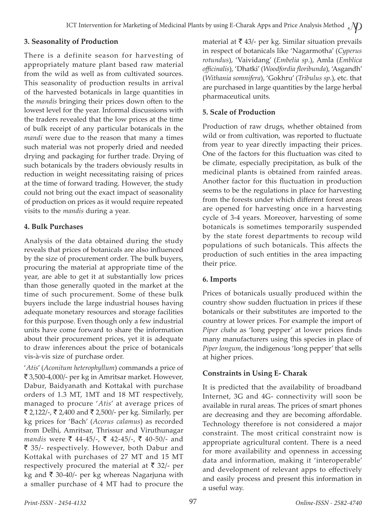## **3. Seasonality of Production**

There is a definite season for harvesting of appropriately mature plant based raw material from the wild as well as from cultivated sources. This seasonality of production results in arrival of the harvested botanicals in large quantities in the *mandis* bringing their prices down often to the lowest level for the year. Informal discussions with the traders revealed that the low prices at the time of bulk receipt of any particular botanicals in the *mandi* were due to the reason that many a times such material was not properly dried and needed drying and packaging for further trade. Drying of such botanicals by the traders obviously results in reduction in weight necessitating raising of prices at the time of forward trading. However, the study could not bring out the exact impact of seasonality of production on prices as it would require repeated visits to the *mandis* during a year.

# **4. Bulk Purchases**

Analysis of the data obtained during the study reveals that prices of botanicals are also influenced by the size of procurement order. The bulk buyers, procuring the material at appropriate time of the year, are able to get it at substantially low prices than those generally quoted in the market at the time of such procurement. Some of these bulk buyers include the large industrial houses having adequate monetary resources and storage facilities for this purpose. Even though only a few industrial units have come forward to share the information about their procurement prices, yet it is adequate to draw inferences about the price of botanicals vis-à-vis size of purchase order.

'*Atis*' (*Aconitum heterophyllum*) commands a price of ` 3,500-4,000/- per kg in Amritsar market. However, Dabur, Baidyanath and Kottakal with purchase orders of 1.3 MT, 1MT and 18 MT respectively, managed to procure '*Atis*' at average prices of ₹ 2,122/-, ₹ 2,400 and ₹ 2,500/- per kg. Similarly, per kg prices for 'Bach' (*Acorus calamus*) as recorded from Delhi, Amritsar, Thrissur and Viruthunagar *mandis* were ₹ 44-45/-, ₹ 42-45/-, ₹ 40-50/- and ` 35/- respectively. However, both Dabur and Kottakal with purchases of 27 MT and 15 MT respectively procured the material at  $\bar{\tau}$  32/- per kg and  $\bar{\tau}$  30-40/- per kg whereas Nagarjuna with a smaller purchase of 4 MT had to procure the

material at  $\bar{\tau}$  43/- per kg. Similar situation prevails in respect of botanicals like 'Nagarmotha' (*Cyperus rotundus*), 'Vaividang' (*Embelia sp*.), Amla (*Emblica officinalis*), 'Dhatki' (*Woodfordia floribunda*), 'Asgandh' (*Withania somnifera*), 'Gokhru' (*Tribulus sp*.), etc. that are purchased in large quantities by the large herbal pharmaceutical units.

# **5. Scale of Production**

Production of raw drugs, whether obtained from wild or from cultivation, was reported to fluctuate from year to year directly impacting their prices. One of the factors for this fluctuation was cited to be climate, especially precipitation, as bulk of the medicinal plants is obtained from rainfed areas. Another factor for this fluctuation in production seems to be the regulations in place for harvesting from the forests under which different forest areas are opened for harvesting once in a harvesting cycle of 3-4 years. Moreover, harvesting of some botanicals is sometimes temporarily suspended by the state forest departments to recoup wild populations of such botanicals. This affects the production of such entities in the area impacting their price.

# **6. Imports**

Prices of botanicals usually produced within the country show sudden fluctuation in prices if these botanicals or their substitutes are imported to the country at lower prices. For example the import of *Piper chaba* as 'long pepper' at lower prices finds many manufacturers using this species in place of *Piper longum*, the indigenous 'long pepper' that sells at higher prices.

# **Constraints in Using E- Charak**

It is predicted that the availability of broadband Internet, 3G and 4G- connectivity will soon be available in rural areas. The prices of smart phones are decreasing and they are becoming affordable. Technology therefore is not considered a major constraint. The most critical constraint now is appropriate agricultural content. There is a need for more availability and openness in accessing data and information, making it 'interoperable' and development of relevant apps to effectively and easily process and present this information in a useful way.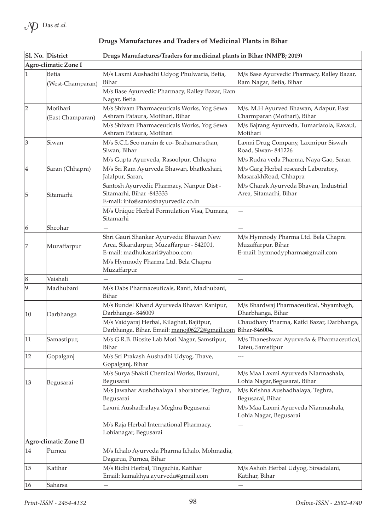|                 | Sl. No. District             | Drugs Manufactures/Traders for medicinal plants in Bihar (NMPB; 2019)                                                |                                                                                              |
|-----------------|------------------------------|----------------------------------------------------------------------------------------------------------------------|----------------------------------------------------------------------------------------------|
|                 | Agro-climatic Zone I         |                                                                                                                      |                                                                                              |
| 1               | Betia                        | M/s Laxmi Aushadhi Udyog Phulwaria, Betia,                                                                           | M/s Base Ayurvedic Pharmacy, Ralley Bazar,                                                   |
|                 | (West-Champaran)             | Bihar                                                                                                                | Ram Nagar, Betia, Bihar                                                                      |
|                 |                              | M/s Base Ayurvedic Pharmacy, Ralley Bazar, Ram<br>Nagar, Betia                                                       |                                                                                              |
| 2               | Motihari<br>(East Champaran) | M/s Shivam Pharmaceuticals Works, Yog Sewa<br>Ashram Pataura, Motihari, Bihar                                        | M/s. M.H Ayurved Bhawan, Adapur, East<br>Charmparan (Mothari), Bihar                         |
|                 |                              | M/s Shivam Pharmaceuticals Works, Yog Sewa<br>Ashram Pataura, Motihari                                               | M/s Bajrang Ayurveda, Tumariatola, Raxaul,<br>Motihari                                       |
| 3               | Siwan                        | M/s S.C.L Seo narain & co-Brahamansthan,<br>Siwan, Bihar                                                             | Laxmi Drug Company, Laxmipur Siswah<br>Road, Siwan-841226                                    |
|                 |                              | M/s Gupta Ayurveda, Rasoolpur, Chhapra                                                                               | M/s Rudra veda Pharma, Naya Gao, Saran                                                       |
| 4               | Saran (Chhapra)              | M/s Sri Ram Ayurveda Bhawan, bhatkeshari,<br>Jalalpur, Saran,                                                        | M/s Garg Herbal research Laboratory,<br>MasarakhRoad, Chhapra                                |
| 5               | Sitamarhi                    | Santosh Ayurvedic Pharmacy, Nanpur Dist -<br>Sitamarhi, Bihar -843333<br>E-mail: info@santoshayurvedic.co.in         | M/s Charak Ayurveda Bhavan, Industrial<br>Area, Sitamarhi, Bihar                             |
|                 |                              | M/s Unique Herbal Formulation Visa, Dumara,<br>Sitamarhi                                                             |                                                                                              |
| $\vert 6 \vert$ | Sheohar                      |                                                                                                                      |                                                                                              |
| 17              | Muzaffarpur                  | Shri Gauri Shankar Ayurvedic Bhawan New<br>Area, Sikandarpur, Muzaffarpur - 842001,<br>E-mail: madhukasari@yahoo.com | M/s Hymnody Pharma Ltd. Bela Chapra<br>Muzaffarpur, Bihar<br>E-mail: hymnodypharma@gmail.com |
|                 |                              | M/s Hymnody Pharma Ltd. Bela Chapra<br>Muzaffarpur                                                                   |                                                                                              |
| 8               | Vaishali                     |                                                                                                                      |                                                                                              |
| $ 9\rangle$     | Madhubani                    | M/s Dabs Pharmaceuticals, Ranti, Madhubani,<br>Bihar                                                                 |                                                                                              |
| 10              | Darbhanga                    | M/s Bundel Khand Ayurveda Bhavan Ranipur,<br>Darbhanga-846009                                                        | M/s Bhardwaj Pharmaceutical, Shyambagh,<br>Dharbhanga, Bihar                                 |
|                 |                              | M/s Vaidyaraj Herbal, Kilaghat, Bajitpur,<br>Darbhanga, Bihar. Email: manoj06272@gmail.com Bihar-846004.             | Chaudhary Pharma, Katki Bazar, Darbhanga,                                                    |
| <sup>11</sup>   | Samastipur,                  | M/s G.R.B. Biosite Lab Moti Nagar, Samstipur,<br>Bihar                                                               | M/s Thaneshwar Ayurveda & Pharmaceutical,<br>Tateu, Samstipur                                |
| 12              | Gopalganj                    | M/s Sri Prakash Aushadhi Udyog, Thave,<br>Gopalganj, Bihar                                                           |                                                                                              |
| 13              | Begusarai                    | M/s Surya Shakti Chemical Works, Barauni,<br>Begusarai                                                               | M/s Maa Laxmi Ayurveda Niarmashala,<br>Lohia Nagar, Begusarai, Bihar                         |
|                 |                              | M/s Jawahar Aushdhalaya Laboratories, Teghra,<br>Begusarai                                                           | M/s Krishna Aushadhalaya, Teghra,<br>Begusarai, Bihar                                        |
|                 |                              | Laxmi Aushadhalaya Meghra Begusarai                                                                                  | M/s Maa Laxmi Ayurveda Niarmashala,<br>Lohia Nagar, Begusarai                                |
|                 |                              | M/s Raja Herbal International Pharmacy,<br>Lohianagar, Begusarai                                                     |                                                                                              |
|                 | Agro-climatic Zone II        |                                                                                                                      |                                                                                              |
| 14              | Purnea                       | M/s Ichalo Ayurveda Pharma Ichalo, Mohmadia,<br>Dagarua, Purnea, Bihar                                               |                                                                                              |
| 15              | Katihar                      | M/s Ridhi Herbal, Tingachia, Katihar<br>Email: kamakhya.ayurveda@gmail.com                                           | M/s Ashoh Herbal Udyog, Sirsadalani,<br>Katihar, Bihar                                       |
| 16              | Saharsa                      |                                                                                                                      |                                                                                              |

# **Drugs Manufactures and Traders of Medicinal Plants in Bihar**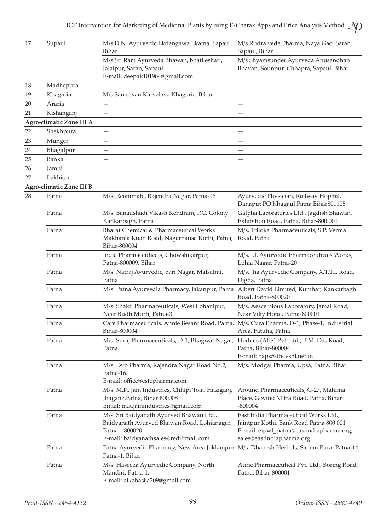| 17 | Supaul                                                                | M/s D.N. Ayurvedic Ekdangawa Ekama, Sapaul,<br>Bihar                                     | M/s Rudra veda Pharma, Naya Gao, Saran,<br>Sapaul, Bihar                       |  |
|----|-----------------------------------------------------------------------|------------------------------------------------------------------------------------------|--------------------------------------------------------------------------------|--|
|    |                                                                       |                                                                                          |                                                                                |  |
|    |                                                                       | M/s Sri Ram Ayurveda Bhawan, bhatkeshari,<br>Jalalpur, Saran, Sapaul                     | M/s Shyamsunder Ayurveda Anusandhan<br>Bhavan, Sounpur, Chhapra, Sapaul, Bihar |  |
|    |                                                                       | E-mail: deepak101984@gmail.com                                                           |                                                                                |  |
| 18 | Madhepura                                                             |                                                                                          |                                                                                |  |
| 19 | Khagaria                                                              | M/s Sanjeevan Karyalaya Khagaria, Bihar                                                  |                                                                                |  |
| 20 | Araria                                                                | —                                                                                        | -                                                                              |  |
| 21 | Kishanganj                                                            |                                                                                          |                                                                                |  |
|    | Agro-climatic Zone III A                                              |                                                                                          |                                                                                |  |
| 22 | Shekhpura                                                             |                                                                                          |                                                                                |  |
| 23 | Munger                                                                |                                                                                          |                                                                                |  |
| 24 | Bhagalpur                                                             | -                                                                                        |                                                                                |  |
| 25 | Banka                                                                 | $\overline{\phantom{0}}$                                                                 |                                                                                |  |
| 26 | Jamui                                                                 |                                                                                          |                                                                                |  |
| 27 | Lakhisari                                                             |                                                                                          |                                                                                |  |
|    | <b>Agro-climatic Zone III B</b>                                       |                                                                                          |                                                                                |  |
| 28 | Patna                                                                 | M/s. Reanimate, Rajendra Nagar, Patna-16                                                 | Ayurvedic Physician, Railway Hopital,                                          |  |
|    |                                                                       |                                                                                          | Danaput PO Khagaul Patna Bihar801105                                           |  |
|    | Patna                                                                 | M/s. Banaushadi Vikash Kendram, P.C. Colony                                              | Galpha Laboratories Ltd., Jagdish Bhawan,                                      |  |
|    |                                                                       | Kankarbagh, Patna                                                                        | Exhibition Road, Patna, Bihar-800 001                                          |  |
|    | Patna                                                                 | Bharat Chemical & Pharmaceutical Works                                                   | M/s. Triloka Pharmaceuticals, S.P. Verma                                       |  |
|    |                                                                       | Makhania Kuan Road, Nagarnausa Kothi, Patna,                                             | Road, Patna                                                                    |  |
|    |                                                                       | Bihar-800004                                                                             |                                                                                |  |
|    | India Pharmaceuticals, Chowshikarpur,<br>Patna<br>Patna-800009, Bihar |                                                                                          | M/s. J.J. Ayurvedic Pharmaceuticals Works,<br>Lohia Nagar, Patna-20            |  |
|    | Patna                                                                 | M/s. Natraj Ayurvedic, bari Nagar, Malsalmi,                                             | M/s. Jha Ayurvedic Company, X.T.T.I. Road,                                     |  |
|    |                                                                       | Patna                                                                                    | Digha, Patna                                                                   |  |
|    | Patna                                                                 | M/s. Patna Ayurvedia Pharmacy, Jakanpur, Patna                                           | Albert David Limited, Kumhar, Kankarbagh                                       |  |
|    |                                                                       |                                                                                          | Road, Patna-800020                                                             |  |
|    | Patna                                                                 | M/s. Shakti Pharmaceuticals, West Lohanipur,<br>Near Budh Murti, Patna-3                 | M/s. Aescelpious Laboratory, Jamal Road,<br>Near Viky Hotal, Patna-800001      |  |
|    | Patna                                                                 | Care Pharmaceuticals, Annie Besant Road, Patna,                                          | M/s. Cura Pharma, D-1, Phase-1, Industrial                                     |  |
|    |                                                                       | Bihar-800004                                                                             | Area, Fatuha, Patna                                                            |  |
|    | Patna                                                                 | M/s. Suraj Pharmaceuticals, D-1, Bhagwat Nagar,                                          | Herbals (APS) Pvt. Ltd., B.M. Das Road,                                        |  |
|    |                                                                       | Patna                                                                                    | Patna, Bihar-800004                                                            |  |
|    |                                                                       |                                                                                          | E-mail: haps@dte.vsnl.net.in                                                   |  |
|    | Patna                                                                 | M/s. Esto Pharma, Rajendra Nagar Road No.2,                                              | M/s. Modgal Pharma, Upsa, Patna, Bihar                                         |  |
|    |                                                                       | Patna-16.                                                                                |                                                                                |  |
|    |                                                                       | E-mail: office@estopharma.com                                                            |                                                                                |  |
|    | Patna                                                                 | M/s. M.K. Jain Industries, Chhipi Tola, Haziganj,<br>Jhaganz, Patna, Bihar 800008        | Around Pharmaceuticals, G-27, Mahima<br>Place, Govind Mitra Road, Patna, Bihar |  |
|    |                                                                       | Email: m.k.jainindustries@gmail.com                                                      | $-800004$                                                                      |  |
|    | Patna                                                                 | M/s. Sri Baidyanath Ayurved Bhawan Ltd.,                                                 | East India Pharmaceutical Works Ltd.,                                          |  |
|    |                                                                       | Baidyanath Ayurved Bhawan Road, Lohianagar,                                              | Jaintpur Kothi, Bank Road Patna 800 001                                        |  |
|    |                                                                       | Patna - 800020.                                                                          | E-mail: eipwl_patna@eastindiapharma.org,                                       |  |
|    |                                                                       | E-mail: baidyanathsales@rediffmail.com                                                   | sales@eastindiapharma.org                                                      |  |
|    | Patna                                                                 | Patna Ayurvedic Pharmacy, New Area Jakkanpur, M/s. Dhanesh Herbals, Saman Pura, Patna-14 |                                                                                |  |
|    |                                                                       | Patna-1, Bihar                                                                           |                                                                                |  |
|    | Patna                                                                 | M/s. Haseeza Ayurvedic Company, North<br>Mandiri, Patna-1.                               | Auric Pharmaceutical Pvt. Ltd., Boring Road,<br>Patna, Bihar-800001            |  |
|    |                                                                       | E-mail: alkahasija209@gmail.com                                                          |                                                                                |  |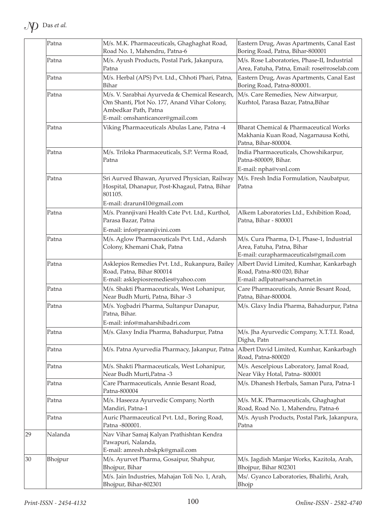| Patna   | M/s. M.K. Pharmaceuticals, Ghaghaghat Road,<br>Road No. 1, Mahendru, Patna-6                                                                               | Eastern Drug, Awas Apartments, Canal East<br>Boring Road, Patna, Bihar-800001                                     |
|---------|------------------------------------------------------------------------------------------------------------------------------------------------------------|-------------------------------------------------------------------------------------------------------------------|
| Patna   | M/s. Ayush Products, Postal Park, Jakanpura,<br>Patna                                                                                                      | M/s. Rose Laboratories, Phase-II, Industrial<br>Area, Fatuha, Patna, Email: rose@roselab.com                      |
| Patna   | M/s. Herbal (APS) Pvt. Ltd., Chhoti Phari, Patna,<br>Bihar                                                                                                 | Eastern Drug, Awas Apartments, Canal East<br>Boring Road, Patna-800001.                                           |
| Patna   | M/s. V. Sarabhai Ayurveda & Chemical Research,<br>Om Shanti, Plot No. 177, Anand Vihar Colony,<br>Ambedkar Path, Patna<br>E-mail: omshanticancer@gmail.com | M/s. Care Remedies, New Aitwarpur,<br>Kurhtol, Parasa Bazar, Patna, Bihar                                         |
| Patna   | Viking Pharmaceuticals Abulas Lane, Patna -4                                                                                                               | Bharat Chemical & Pharmaceutical Works<br>Makhania Kuan Road, Nagarnausa Kothi,<br>Patna, Bihar-800004.           |
| Patna   | M/s. Triloka Pharmaceuticals, S.P. Verma Road,<br>Patna                                                                                                    | India Pharmaceuticals, Chowshikarpur,<br>Patna-800009, Bihar.                                                     |
|         |                                                                                                                                                            | E-mail: npha@vsnl.com                                                                                             |
| Patna   | Sri Aurved Bhawan, Ayurved Physician, Railway<br>Hospital, Dhanapur, Post-Khagaul, Patna, Bihar<br>801105.                                                 | M/s. Fresh India Formulation, Naubatpur,<br>Patna                                                                 |
|         | E-mail: drarun410@gmail.com                                                                                                                                |                                                                                                                   |
| Patna   | M/s. Prannjivani Health Cate Pvt. Ltd., Kurthol,<br>Parasa Bazar, Patna                                                                                    | Alkem Laboratories Ltd., Exhibition Road,<br>Patna, Bihar - 800001                                                |
|         | E-mail: info@prannjivini.com                                                                                                                               |                                                                                                                   |
| Patna   | M/s. Aglow Pharmaceuticals Pvt. Ltd., Adarsh<br>Colony, Khemani Chak, Patna                                                                                | M/s. Cura Pharma, D-1, Phase-1, Industrial<br>Area, Fatuha, Patna, Bihar<br>E-mail: curapharmaceuticals@gmail.com |
| Patna   | Asklepios Remedies Pvt. Ltd., Rukanpura, Bailey<br>Road, Patna, Bihar 800014<br>E-mail: asklepiosremedies@yahoo.com                                        | Albert David Limited, Kumhar, Kankarbagh<br>Road, Patna-800 020, Bihar<br>E-mail: adlpatna@sancharnet.in          |
| Patna   | M/s. Shakti Pharmaceuticals, West Lohanipur,<br>Near Budh Murti, Patna, Bihar -3                                                                           | Care Pharmaceuticals, Annie Besant Road,<br>Patna, Bihar-800004.                                                  |
| Patna   | M/s. Yogbadri Pharma, Sultanpur Danapur,<br>Patna, Bihar.                                                                                                  | M/s. Glaxy India Pharma, Bahadurpur, Patna                                                                        |
|         | E-mail: info@maharshibadri.com                                                                                                                             |                                                                                                                   |
| Patna   | M/s. Glaxy India Pharma, Bahadurpur, Patna                                                                                                                 | M/s. Jha Ayurvedic Company, X.T.T.I. Road,<br>Digha, Patn                                                         |
| Patna   | M/s. Patna Ayurvedia Pharmacy, Jakanpur, Patna                                                                                                             | Albert David Limited, Kumhar, Kankarbagh<br>Road, Patna-800020                                                    |
| Patna   | M/s. Shakti Pharmaceuticals, West Lohanipur,<br>Near Budh Murti, Patna -3                                                                                  | M/s. Aescelpious Laboratory, Jamal Road,<br>Near Viky Hotal, Patna-800001                                         |
| Patna   | Care Pharmaceuticals, Annie Besant Road,<br>Patna-800004                                                                                                   | M/s. Dhanesh Herbals, Saman Pura, Patna-1                                                                         |
| Patna   | M/s. Haseeza Ayurvedic Company, North<br>Mandiri, Patna-1                                                                                                  | M/s. M.K. Pharmaceuticals, Ghaghaghat<br>Road, Road No. 1, Mahendru, Patna-6                                      |
| Patna   | Auric Pharmaceutical Pvt. Ltd., Boring Road,<br>Patna -800001.                                                                                             | M/s. Ayush Products, Postal Park, Jakanpura,<br>Patna                                                             |
| Nalanda | Nav Vihar Samaj Kalyan Prathishtan Kendra<br>Pawapuri, Nalanda,<br>E-mail: amresh.nbskpk@gmail.com                                                         |                                                                                                                   |
| Bhojpur | M/s. Ayurvet Pharma, Gosaipur, Shahpur,<br>Bhojpur, Bihar                                                                                                  | M/s. Jagdish Manjar Works, Kazitola, Arah,<br>Bhojpur, Bihar 802301                                               |
|         | M/s. Jain Industries, Mahajan Toli No. 1, Arah,<br>Bhojpur, Bihar-802301                                                                                   | Ms/. Gyanco Laboratories, Bhalirhi, Arah,<br>Bhojp                                                                |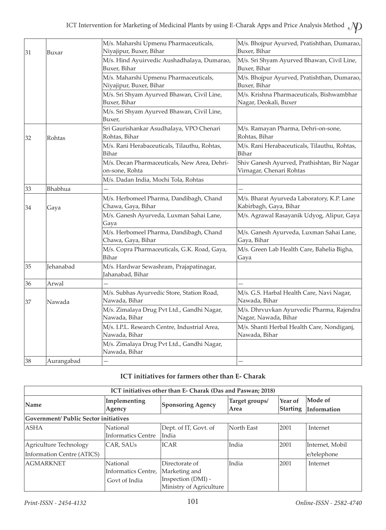| 31<br>Buxar |            | M/s. Maharshi Upmenu Pharmaceuticals,<br>Niyajipur, Buxer, Bihar | M/s. Bhojpur Ayurved, Pratishthan, Dumarao,<br>Buxer, Bihar             |  |  |
|-------------|------------|------------------------------------------------------------------|-------------------------------------------------------------------------|--|--|
|             |            | M/s. Hind Ayuirvedic Aushadhalaya, Dumarao,<br>Buxer, Bihar      | M/s. Sri Shyam Ayurved Bhawan, Civil Line,<br>Buxer, Bihar              |  |  |
|             |            | M/s. Maharshi Upmenu Pharmaceuticals,<br>Niyajipur, Buxer, Bihar | M/s. Bhojpur Ayurved, Pratishthan, Dumarao,<br>Buxer, Bihar             |  |  |
|             |            | M/s. Sri Shyam Ayurved Bhawan, Civil Line,<br>Buxer, Bihar       | M/s. Krishna Pharmaceuticals, Bishwambhar<br>Nagar, Deokali, Buxer      |  |  |
|             |            | M/s. Sri Shyam Ayurved Bhawan, Civil Line,<br>Buxer,             |                                                                         |  |  |
| 32          | Rohtas     | Sri Gaurishankar Asudhalaya, VPO Chenari<br>Rohtas, Bihar        | M/s. Ramayan Pharma, Dehri-on-sone,<br>Rohtas, Bihar                    |  |  |
|             |            | M/s. Rani Herabaceuticals, Tilauthu, Rohtas,<br>Bihar            | M/s. Rani Herabaceuticals, Tilauthu, Rohtas,<br>Bihar                   |  |  |
|             |            | M/s. Decan Pharmaceuticals, New Area, Dehri-<br>on-sone, Rohta   | Shiv Ganesh Ayurved, Prathishtan, Bir Nagar<br>Virnagar, Chenari Rohtas |  |  |
|             |            | M/s. Dadan India, Mochi Tola, Rohtas                             |                                                                         |  |  |
| 33          | Bhabhua    |                                                                  |                                                                         |  |  |
| 34          | Gaya       | M/s. Herbomeel Pharma, Dandibagh, Chand<br>Chawa, Gaya, Bihar    | M/s. Bharat Ayurveda Laboratory, K.P. Lane<br>Kabirbagh, Gaya, Bihar    |  |  |
|             |            | M/s. Ganesh Ayurveda, Luxman Sahai Lane,<br>Gaya                 | M/s. Agrawal Rasayanik Udyog, Alipur, Gaya                              |  |  |
|             |            | M/s. Herbomeel Pharma, Dandibagh, Chand<br>Chawa, Gaya, Bihar    | M/s. Ganesh Ayurveda, Luxman Sahai Lane,<br>Gaya, Bihar                 |  |  |
|             |            | M/s. Copra Pharmaceuticals, G.K. Road, Gaya,<br>Bihar            | M/s. Green Lab Health Care, Bahelia Bigha,<br>Gaya                      |  |  |
| 35          | Jehanabad  | M/s. Hardwar Sewashram, Prajapatinagar,<br>Jahanabad, Bihar      |                                                                         |  |  |
| 36          | Arwal      |                                                                  |                                                                         |  |  |
| 37          | Nawada     | M/s. Subhas Ayurvedic Store, Station Road,<br>Nawada, Bihar      | M/s. G.S. Harbal Health Care, Navi Nagar,<br>Nawada, Bihar              |  |  |
|             |            | M/s. Zimalaya Drug Pvt Ltd., Gandhi Nagar,<br>Nawada, Bihar      | M/s. Dhrvuvkan Ayurvedic Pharma, Rajendra<br>Nagar, Nawada, Bihar       |  |  |
|             |            | M/s. I.P.L. Research Centre, Industrial Area,<br>Nawada, Bihar   | M/s. Shanti Herbal Health Care, Nondiganj,<br>Nawada, Bihar             |  |  |
|             |            | M/s. Zimalaya Drug Pvt Ltd., Gandhi Nagar,<br>Nawada, Bihar      |                                                                         |  |  |
| 38          | Aurangabad |                                                                  |                                                                         |  |  |

# **ICT initiatives for farmers other than E- Charak**

| ICT initiatives other than E- Charak (Das and Paswan; 2018) |                                                  |                                                                                  |                        |                     |                        |  |  |
|-------------------------------------------------------------|--------------------------------------------------|----------------------------------------------------------------------------------|------------------------|---------------------|------------------------|--|--|
| Name                                                        | Implementing<br>Agency                           | <b>Sponsoring Agency</b>                                                         | Target groups/<br>Area | Year of<br>Starting | Mode of<br>Information |  |  |
|                                                             | <b>Government/ Public Sector initiatives</b>     |                                                                                  |                        |                     |                        |  |  |
| <b>ASHA</b>                                                 | National<br><b>Informatics Centre</b>            | Dept. of IT, Govt. of<br>India                                                   | North East             | 2001                | Internet               |  |  |
| Agriculture Technology                                      | CAR, SAUs                                        | <b>ICAR</b>                                                                      | India                  | 2001                | Internet, Mobil        |  |  |
| Information Centre (ATICS)                                  |                                                  |                                                                                  |                        |                     | e/telephone            |  |  |
| <b>AGMARKNET</b>                                            | National<br>Informatics Centre,<br>Govt of India | Directorate of<br>Marketing and<br>Inspection (DMI) -<br>Ministry of Agriculture | India                  | 2001                | Internet               |  |  |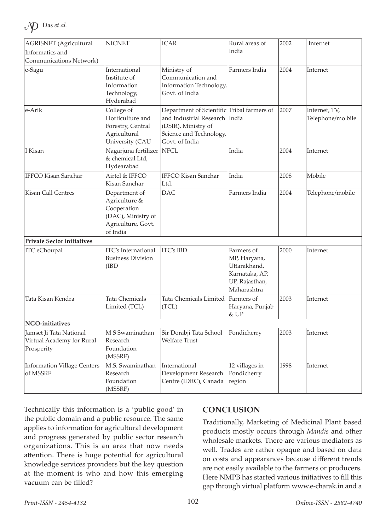| <b>AGRISNET</b> (Agricultural<br>Informatics and                   | <b>NICNET</b>                                                                                         | <b>ICAR</b>                                                                                                                                     | Rural areas of<br>India                                                                       | 2002 | Internet                           |
|--------------------------------------------------------------------|-------------------------------------------------------------------------------------------------------|-------------------------------------------------------------------------------------------------------------------------------------------------|-----------------------------------------------------------------------------------------------|------|------------------------------------|
| Communications Network)                                            |                                                                                                       |                                                                                                                                                 |                                                                                               |      |                                    |
| e-Sagu                                                             | International<br>Institute of<br>Information<br>Technology,<br>Hyderabad                              | Ministry of<br>Communication and<br>Information Technology,<br>Govt. of India                                                                   | Farmers India                                                                                 | 2004 | Internet                           |
| e-Arik                                                             | College of<br>Horticulture and<br>Forestry, Central<br>Agricultural<br>University (CAU                | Department of Scientific Tribal farmers of<br>and Industrial Research India<br>(DSIR), Ministry of<br>Science and Technology,<br>Govt. of India |                                                                                               | 2007 | Internet, TV,<br>Telephone/mo bile |
| I Kisan                                                            | Nagarjuna fertilizer NFCL<br>& chemical Ltd,<br>Hydearabad                                            |                                                                                                                                                 | India                                                                                         | 2004 | Internet                           |
| <b>IFFCO Kisan Sanchar</b>                                         | Airtel & IFFCO<br>Kisan Sanchar                                                                       | <b>IFFCO Kisan Sanchar</b><br>Ltd.                                                                                                              | India                                                                                         | 2008 | Mobile                             |
| <b>Kisan Call Centres</b>                                          | Department of<br>Agriculture &<br>Cooperation<br>(DAC), Ministry of<br>Agriculture, Govt.<br>of India | <b>DAC</b>                                                                                                                                      | Farmers India                                                                                 | 2004 | Telephone/mobile                   |
| <b>Private Sector initiatives</b>                                  |                                                                                                       |                                                                                                                                                 |                                                                                               |      |                                    |
| <b>ITC</b> eChoupal                                                | <b>ITC's International</b><br><b>Business Division</b><br>(IBD)                                       | <b>ITC's IBD</b>                                                                                                                                | Farmers of<br>MP, Haryana,<br>Uttarakhand,<br>Karnataka, AP,<br>UP, Rajasthan,<br>Maharashtra | 2000 | Internet                           |
| Tata Kisan Kendra                                                  | Tata Chemicals<br>Limited (TCL)                                                                       | Tata Chemicals Limited<br>(TCL)                                                                                                                 | Farmers of<br>Haryana, Punjab<br>& UP                                                         | 2003 | Internet                           |
| <b>NGO-initiatives</b>                                             |                                                                                                       |                                                                                                                                                 |                                                                                               |      |                                    |
| Jamset Ji Tata National<br>Virtual Academy for Rural<br>Prosperity | M S Swaminathan<br>Research<br>Foundation<br>(MSSRF)                                                  | Sir Dorabji Tata School<br><b>Welfare Trust</b>                                                                                                 | Pondicherry                                                                                   | 2003 | Internet                           |
| <b>Information Village Centers</b><br>of MSSRF                     | M.S. Swaminathan<br>Research<br>Foundation<br>(MSSRF)                                                 | International<br>Development Research<br>Centre (IDRC), Canada                                                                                  | 12 villages in<br>Pondicherry<br>region                                                       | 1998 | Internet                           |

Technically this information is a 'public good' in the public domain and a public resource. The same applies to information for agricultural development and progress generated by public sector research organizations. This is an area that now needs attention. There is huge potential for agricultural knowledge services providers but the key question at the moment is who and how this emerging vacuum can be filled?

# **CONCLUSION**

Traditionally, Marketing of Medicinal Plant based products mostly occurs through *Mandis* and other wholesale markets. There are various mediators as well. Trades are rather opaque and based on data on costs and appearances because different trends are not easily available to the farmers or producers. Here NMPB has started various initiatives to fill this gap through virtual platform www.e-charak.in and a